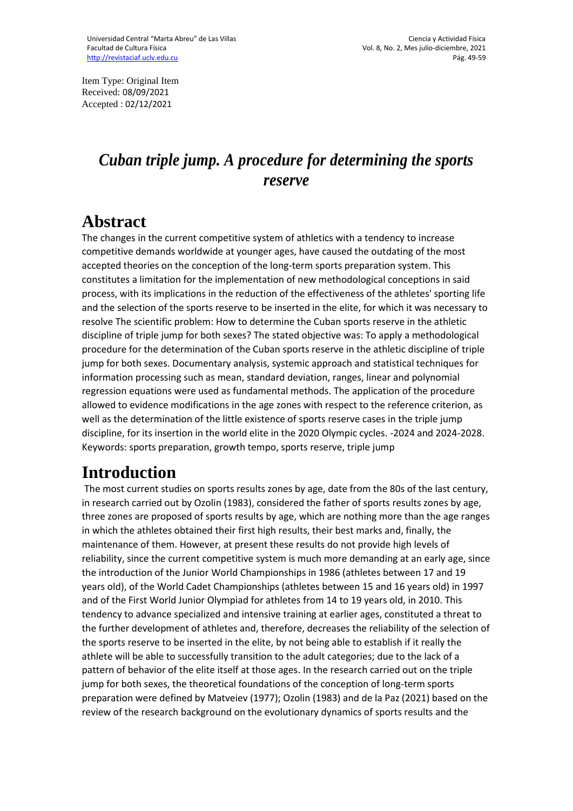Item Type: Original Item Received: 08/09/2021 Accepted : 02/12/2021

## *Cuban triple jump. A procedure for determining the sports reserve*

### **Abstract**

The changes in the current competitive system of athletics with a tendency to increase competitive demands worldwide at younger ages, have caused the outdating of the most accepted theories on the conception of the long-term sports preparation system. This constitutes a limitation for the implementation of new methodological conceptions in said process, with its implications in the reduction of the effectiveness of the athletes' sporting life and the selection of the sports reserve to be inserted in the elite, for which it was necessary to resolve The scientific problem: How to determine the Cuban sports reserve in the athletic discipline of triple jump for both sexes? The stated objective was: To apply a methodological procedure for the determination of the Cuban sports reserve in the athletic discipline of triple jump for both sexes. Documentary analysis, systemic approach and statistical techniques for information processing such as mean, standard deviation, ranges, linear and polynomial regression equations were used as fundamental methods. The application of the procedure allowed to evidence modifications in the age zones with respect to the reference criterion, as well as the determination of the little existence of sports reserve cases in the triple jump discipline, for its insertion in the world elite in the 2020 Olympic cycles. -2024 and 2024-2028. Keywords: sports preparation, growth tempo, sports reserve, triple jump

# **Introduction**

The most current studies on sports results zones by age, date from the 80s of the last century, in research carried out by Ozolin (1983), considered the father of sports results zones by age, three zones are proposed of sports results by age, which are nothing more than the age ranges in which the athletes obtained their first high results, their best marks and, finally, the maintenance of them. However, at present these results do not provide high levels of reliability, since the current competitive system is much more demanding at an early age, since the introduction of the Junior World Championships in 1986 (athletes between 17 and 19 years old), of the World Cadet Championships (athletes between 15 and 16 years old) in 1997 and of the First World Junior Olympiad for athletes from 14 to 19 years old, in 2010. This tendency to advance specialized and intensive training at earlier ages, constituted a threat to the further development of athletes and, therefore, decreases the reliability of the selection of the sports reserve to be inserted in the elite, by not being able to establish if it really the athlete will be able to successfully transition to the adult categories; due to the lack of a pattern of behavior of the elite itself at those ages. In the research carried out on the triple jump for both sexes, the theoretical foundations of the conception of long-term sports preparation were defined by Matveiev (1977); Ozolin (1983) and de la Paz (2021) based on the review of the research background on the evolutionary dynamics of sports results and the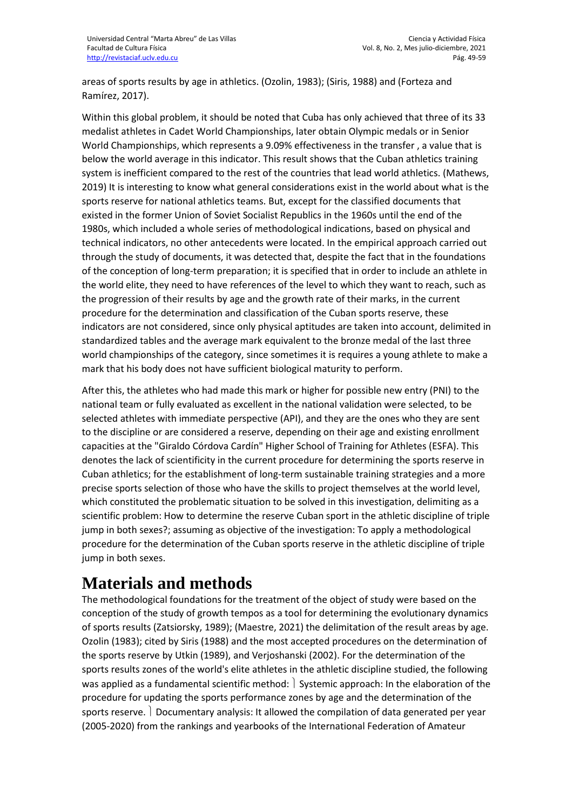areas of sports results by age in athletics. (Ozolin, 1983); (Siris, 1988) and (Forteza and Ramírez, 2017).

Within this global problem, it should be noted that Cuba has only achieved that three of its 33 medalist athletes in Cadet World Championships, later obtain Olympic medals or in Senior World Championships, which represents a 9.09% effectiveness in the transfer , a value that is below the world average in this indicator. This result shows that the Cuban athletics training system is inefficient compared to the rest of the countries that lead world athletics. (Mathews, 2019) It is interesting to know what general considerations exist in the world about what is the sports reserve for national athletics teams. But, except for the classified documents that existed in the former Union of Soviet Socialist Republics in the 1960s until the end of the 1980s, which included a whole series of methodological indications, based on physical and technical indicators, no other antecedents were located. In the empirical approach carried out through the study of documents, it was detected that, despite the fact that in the foundations of the conception of long-term preparation; it is specified that in order to include an athlete in the world elite, they need to have references of the level to which they want to reach, such as the progression of their results by age and the growth rate of their marks, in the current procedure for the determination and classification of the Cuban sports reserve, these indicators are not considered, since only physical aptitudes are taken into account, delimited in standardized tables and the average mark equivalent to the bronze medal of the last three world championships of the category, since sometimes it is requires a young athlete to make a mark that his body does not have sufficient biological maturity to perform.

After this, the athletes who had made this mark or higher for possible new entry (PNI) to the national team or fully evaluated as excellent in the national validation were selected, to be selected athletes with immediate perspective (API), and they are the ones who they are sent to the discipline or are considered a reserve, depending on their age and existing enrollment capacities at the "Giraldo Córdova Cardín" Higher School of Training for Athletes (ESFA). This denotes the lack of scientificity in the current procedure for determining the sports reserve in Cuban athletics; for the establishment of long-term sustainable training strategies and a more precise sports selection of those who have the skills to project themselves at the world level, which constituted the problematic situation to be solved in this investigation, delimiting as a scientific problem: How to determine the reserve Cuban sport in the athletic discipline of triple jump in both sexes?; assuming as objective of the investigation: To apply a methodological procedure for the determination of the Cuban sports reserve in the athletic discipline of triple jump in both sexes.

# **Materials and methods**

The methodological foundations for the treatment of the object of study were based on the conception of the study of growth tempos as a tool for determining the evolutionary dynamics of sports results (Zatsiorsky, 1989); (Maestre, 2021) the delimitation of the result areas by age. Ozolin (1983); cited by Siris (1988) and the most accepted procedures on the determination of the sports reserve by Utkin (1989), and Verjoshanski (2002). For the determination of the sports results zones of the world's elite athletes in the athletic discipline studied, the following was applied as a fundamental scientific method:  $\vert$  Systemic approach: In the elaboration of the procedure for updating the sports performance zones by age and the determination of the sports reserve. Documentary analysis: It allowed the compilation of data generated per year (2005-2020) from the rankings and yearbooks of the International Federation of Amateur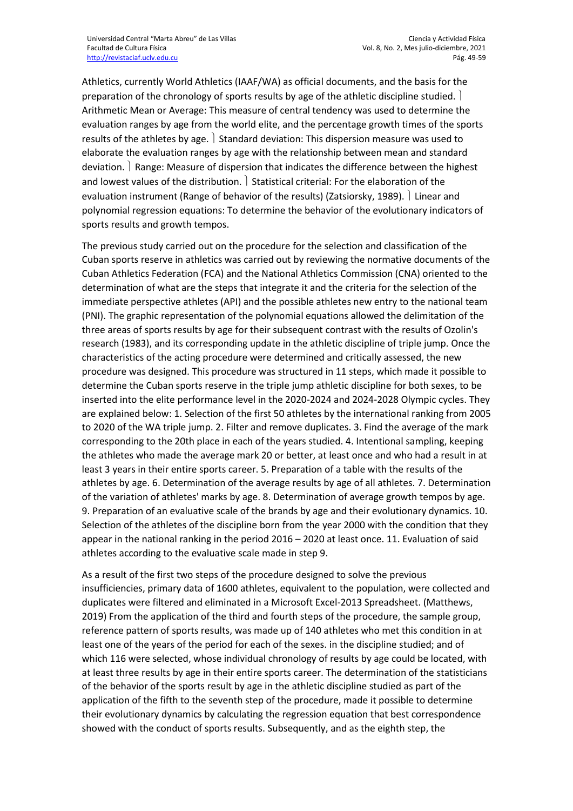Athletics, currently World Athletics (IAAF/WA) as official documents, and the basis for the preparation of the chronology of sports results by age of the athletic discipline studied. Arithmetic Mean or Average: This measure of central tendency was used to determine the evaluation ranges by age from the world elite, and the percentage growth times of the sports results of the athletes by age.  $\vert$  Standard deviation: This dispersion measure was used to elaborate the evaluation ranges by age with the relationship between mean and standard deviation. Range: Measure of dispersion that indicates the difference between the highest and lowest values of the distribution.  $\vert$  Statistical criterial: For the elaboration of the evaluation instrument (Range of behavior of the results) (Zatsiorsky, 1989). I Linear and polynomial regression equations: To determine the behavior of the evolutionary indicators of sports results and growth tempos.

The previous study carried out on the procedure for the selection and classification of the Cuban sports reserve in athletics was carried out by reviewing the normative documents of the Cuban Athletics Federation (FCA) and the National Athletics Commission (CNA) oriented to the determination of what are the steps that integrate it and the criteria for the selection of the immediate perspective athletes (API) and the possible athletes new entry to the national team (PNI). The graphic representation of the polynomial equations allowed the delimitation of the three areas of sports results by age for their subsequent contrast with the results of Ozolin's research (1983), and its corresponding update in the athletic discipline of triple jump. Once the characteristics of the acting procedure were determined and critically assessed, the new procedure was designed. This procedure was structured in 11 steps, which made it possible to determine the Cuban sports reserve in the triple jump athletic discipline for both sexes, to be inserted into the elite performance level in the 2020-2024 and 2024-2028 Olympic cycles. They are explained below: 1. Selection of the first 50 athletes by the international ranking from 2005 to 2020 of the WA triple jump. 2. Filter and remove duplicates. 3. Find the average of the mark corresponding to the 20th place in each of the years studied. 4. Intentional sampling, keeping the athletes who made the average mark 20 or better, at least once and who had a result in at least 3 years in their entire sports career. 5. Preparation of a table with the results of the athletes by age. 6. Determination of the average results by age of all athletes. 7. Determination of the variation of athletes' marks by age. 8. Determination of average growth tempos by age. 9. Preparation of an evaluative scale of the brands by age and their evolutionary dynamics. 10. Selection of the athletes of the discipline born from the year 2000 with the condition that they appear in the national ranking in the period 2016 – 2020 at least once. 11. Evaluation of said athletes according to the evaluative scale made in step 9.

As a result of the first two steps of the procedure designed to solve the previous insufficiencies, primary data of 1600 athletes, equivalent to the population, were collected and duplicates were filtered and eliminated in a Microsoft Excel-2013 Spreadsheet. (Matthews, 2019) From the application of the third and fourth steps of the procedure, the sample group, reference pattern of sports results, was made up of 140 athletes who met this condition in at least one of the years of the period for each of the sexes. in the discipline studied; and of which 116 were selected, whose individual chronology of results by age could be located, with at least three results by age in their entire sports career. The determination of the statisticians of the behavior of the sports result by age in the athletic discipline studied as part of the application of the fifth to the seventh step of the procedure, made it possible to determine their evolutionary dynamics by calculating the regression equation that best correspondence showed with the conduct of sports results. Subsequently, and as the eighth step, the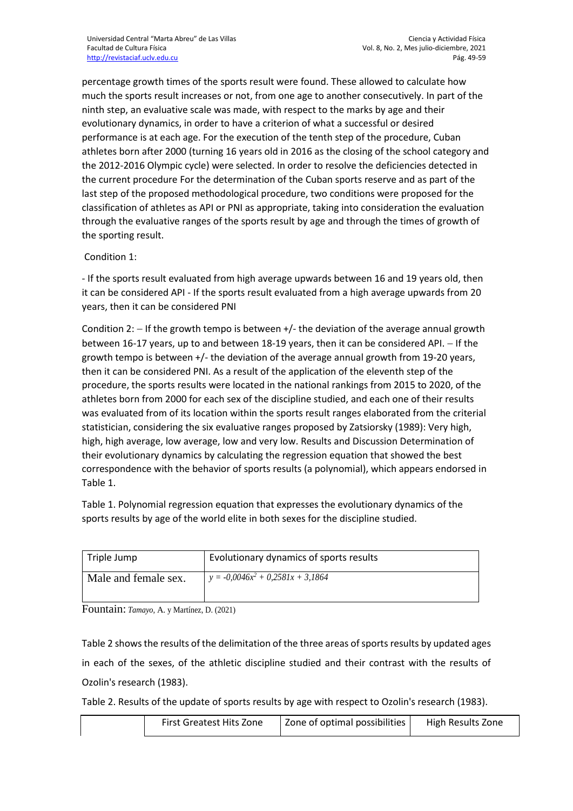percentage growth times of the sports result were found. These allowed to calculate how much the sports result increases or not, from one age to another consecutively. In part of the ninth step, an evaluative scale was made, with respect to the marks by age and their evolutionary dynamics, in order to have a criterion of what a successful or desired performance is at each age. For the execution of the tenth step of the procedure, Cuban athletes born after 2000 (turning 16 years old in 2016 as the closing of the school category and the 2012-2016 Olympic cycle) were selected. In order to resolve the deficiencies detected in the current procedure For the determination of the Cuban sports reserve and as part of the last step of the proposed methodological procedure, two conditions were proposed for the classification of athletes as API or PNI as appropriate, taking into consideration the evaluation through the evaluative ranges of the sports result by age and through the times of growth of the sporting result.

#### Condition 1:

- If the sports result evaluated from high average upwards between 16 and 19 years old, then it can be considered API - If the sports result evaluated from a high average upwards from 20 years, then it can be considered PNI

Condition 2:  $-$  If the growth tempo is between  $+/-$  the deviation of the average annual growth between 16-17 years, up to and between 18-19 years, then it can be considered API.  $-$  If the growth tempo is between +/- the deviation of the average annual growth from 19-20 years, then it can be considered PNI. As a result of the application of the eleventh step of the procedure, the sports results were located in the national rankings from 2015 to 2020, of the athletes born from 2000 for each sex of the discipline studied, and each one of their results was evaluated from of its location within the sports result ranges elaborated from the criterial statistician, considering the six evaluative ranges proposed by Zatsiorsky (1989): Very high, high, high average, low average, low and very low. Results and Discussion Determination of their evolutionary dynamics by calculating the regression equation that showed the best correspondence with the behavior of sports results (a polynomial), which appears endorsed in Table 1.

Table 1. Polynomial regression equation that expresses the evolutionary dynamics of the sports results by age of the world elite in both sexes for the discipline studied.

| Triple Jump          | Evolutionary dynamics of sports results |
|----------------------|-----------------------------------------|
| Male and female sex. | $y = -0.0046x^2 + 0.2581x + 3.1864$     |

Fountain: *Tamayo,* A. y Martínez, D. (2021)

Table 2 shows the results of the delimitation of the three areas of sports results by updated ages in each of the sexes, of the athletic discipline studied and their contrast with the results of Ozolin's research (1983).

Table 2. Results of the update of sports results by age with respect to Ozolin's research (1983).

| 20ne of optimal possibilities<br><b>First Greatest Hits Zone</b><br>High Results Zone |
|---------------------------------------------------------------------------------------|
|---------------------------------------------------------------------------------------|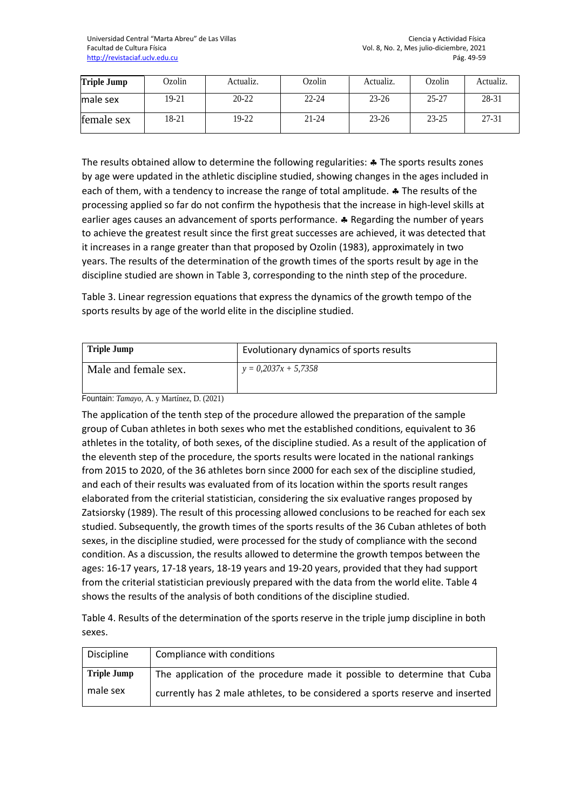| <b>Triple Jump</b> | Ozolin | Actualiz. | Ozolin    | Actualiz. | Ozolin    | Actualiz. |
|--------------------|--------|-----------|-----------|-----------|-----------|-----------|
| male sex           | 19-21  | $20 - 22$ | $22 - 24$ | $23 - 26$ | $25 - 27$ | 28-31     |
| female sex         | 18-21  | 19-22     | $21 - 24$ | $23 - 26$ | $23 - 25$ | $27 - 31$ |

The results obtained allow to determine the following regularities:  $\clubsuit$  The sports results zones by age were updated in the athletic discipline studied, showing changes in the ages included in each of them, with a tendency to increase the range of total amplitude.  $\clubsuit$  The results of the processing applied so far do not confirm the hypothesis that the increase in high-level skills at earlier ages causes an advancement of sports performance.  $\clubsuit$  Regarding the number of years to achieve the greatest result since the first great successes are achieved, it was detected that it increases in a range greater than that proposed by Ozolin (1983), approximately in two years. The results of the determination of the growth times of the sports result by age in the discipline studied are shown in Table 3, corresponding to the ninth step of the procedure.

Table 3. Linear regression equations that express the dynamics of the growth tempo of the sports results by age of the world elite in the discipline studied.

| Triple Jump          | Evolutionary dynamics of sports results |
|----------------------|-----------------------------------------|
| Male and female sex. | $y = 0,2037x + 5,7358$                  |

Fountain: *Tamayo,* A. y Martínez, D. (2021)

The application of the tenth step of the procedure allowed the preparation of the sample group of Cuban athletes in both sexes who met the established conditions, equivalent to 36 athletes in the totality, of both sexes, of the discipline studied. As a result of the application of the eleventh step of the procedure, the sports results were located in the national rankings from 2015 to 2020, of the 36 athletes born since 2000 for each sex of the discipline studied, and each of their results was evaluated from of its location within the sports result ranges elaborated from the criterial statistician, considering the six evaluative ranges proposed by Zatsiorsky (1989). The result of this processing allowed conclusions to be reached for each sex studied. Subsequently, the growth times of the sports results of the 36 Cuban athletes of both sexes, in the discipline studied, were processed for the study of compliance with the second condition. As a discussion, the results allowed to determine the growth tempos between the ages: 16-17 years, 17-18 years, 18-19 years and 19-20 years, provided that they had support from the criterial statistician previously prepared with the data from the world elite. Table 4 shows the results of the analysis of both conditions of the discipline studied.

Table 4. Results of the determination of the sports reserve in the triple jump discipline in both sexes.

| Discipline         | Compliance with conditions                                                    |
|--------------------|-------------------------------------------------------------------------------|
| <b>Triple Jump</b> | The application of the procedure made it possible to determine that Cuba      |
| male sex           | currently has 2 male athletes, to be considered a sports reserve and inserted |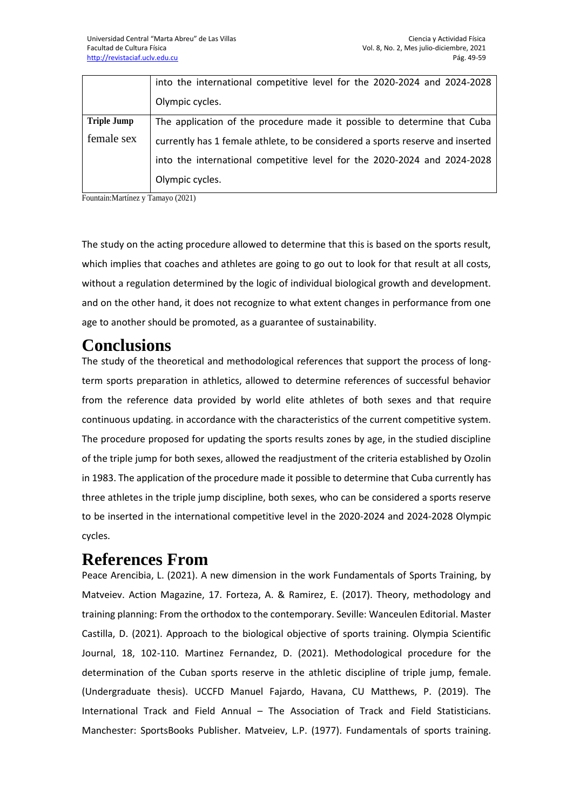|                    | into the international competitive level for the 2020-2024 and 2024-2028       |
|--------------------|--------------------------------------------------------------------------------|
|                    | Olympic cycles.                                                                |
| <b>Triple Jump</b> | The application of the procedure made it possible to determine that Cuba       |
| female sex         | currently has 1 female athlete, to be considered a sports reserve and inserted |
|                    | into the international competitive level for the 2020-2024 and 2024-2028       |
|                    | Olympic cycles.                                                                |

Fountain:Martínez y Tamayo (2021)

The study on the acting procedure allowed to determine that this is based on the sports result, which implies that coaches and athletes are going to go out to look for that result at all costs, without a regulation determined by the logic of individual biological growth and development. and on the other hand, it does not recognize to what extent changes in performance from one age to another should be promoted, as a guarantee of sustainability.

## **Conclusions**

The study of the theoretical and methodological references that support the process of longterm sports preparation in athletics, allowed to determine references of successful behavior from the reference data provided by world elite athletes of both sexes and that require continuous updating. in accordance with the characteristics of the current competitive system. The procedure proposed for updating the sports results zones by age, in the studied discipline of the triple jump for both sexes, allowed the readjustment of the criteria established by Ozolin in 1983. The application of the procedure made it possible to determine that Cuba currently has three athletes in the triple jump discipline, both sexes, who can be considered a sports reserve to be inserted in the international competitive level in the 2020-2024 and 2024-2028 Olympic cycles.

#### **References From**

Peace Arencibia, L. (2021). A new dimension in the work Fundamentals of Sports Training, by Matveiev. Action Magazine, 17. Forteza, A. & Ramirez, E. (2017). Theory, methodology and training planning: From the orthodox to the contemporary. Seville: Wanceulen Editorial. Master Castilla, D. (2021). Approach to the biological objective of sports training. Olympia Scientific Journal, 18, 102-110. Martinez Fernandez, D. (2021). Methodological procedure for the determination of the Cuban sports reserve in the athletic discipline of triple jump, female. (Undergraduate thesis). UCCFD Manuel Fajardo, Havana, CU Matthews, P. (2019). The International Track and Field Annual – The Association of Track and Field Statisticians. Manchester: SportsBooks Publisher. Matveiev, L.P. (1977). Fundamentals of sports training.